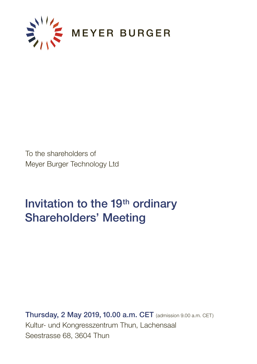

To the shareholders of Meyer Burger Technology Ltd

# Invitation to the 19<sup>th</sup> ordinary Shareholders' Meeting

Thursday, 2 May 2019, 10.00 a.m. CET (admission 9.00 a.m. CET) Kultur- und Kongresszentrum Thun, Lachensaal Seestrasse 68, 3604 Thun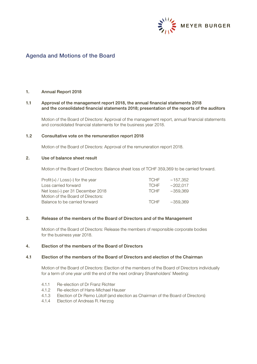

# Agenda and Motions of the Board

# 1. Annual Report 2018

## 1.1 Approval of the management report 2018, the annual financial statements 2018 and the consolidated financial statements 2018; presentation of the reports of the auditors

Motion of the Board of Directors: Approval of the management report, annual financial statements and consolidated financial statements for the business year 2018.

## 1.2 Consultative vote on the remuneration report 2018

Motion of the Board of Directors: Approval of the remuneration report 2018.

#### 2. Use of balance sheet result

Motion of the Board of Directors: Balance sheet loss of TCHF 359,369 to be carried forward.

| $Profit(+) / Loss(-)$ for the year | <b>TCHF</b> | $-157.352$ |
|------------------------------------|-------------|------------|
| Loss carried forward               | <b>TCHE</b> | $-202.017$ |
| Net loss (–) per 31 December 2018  | <b>TCHF</b> | -359.369   |
| Motion of the Board of Directors:  |             |            |
| Balance to be carried forward      | <b>TCHF</b> | -359.369   |
|                                    |             |            |

#### 3. Release of the members of the Board of Directors and of the Management

Motion of the Board of Directors: Release the members of responsible corporate bodies for the business year 2018.

#### 4. Election of the members of the Board of Directors

#### 4.1 Election of the members of the Board of Directors and election of the Chairman

Motion of the Board of Directors: Election of the members of the Board of Directors individually for a term of one year until the end of the next ordinary Shareholders' Meeting:

- 4.1.1 Re-election of Dr Franz Richter
- 4.1.2 Re-election of Hans-Michael Hauser
- 4.1.3 Election of Dr Remo Lütolf (and election as Chairman of the Board of Directors)
- 4.1.4 Election of Andreas R. Herzog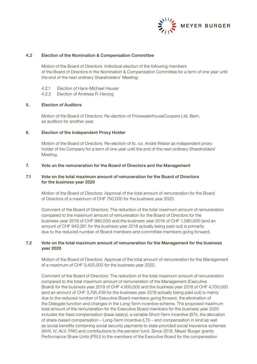

# 4.2 Election of the Nomination & Compensation Committee

Motion of the Board of Directors: Individual election of the following members of the Board of Directors in the Nomination & Compensation Committee for a term of one year until the end of the next ordinary Shareholders' Meeting:

- 4.2.1 Election of Hans-Michael Hauser
- 4.2.2 Election of Andreas R. Herzog

## 5. Election of Auditors

Motion of the Board of Directors: Re-election of PricewaterhouseCoopers Ltd, Bern, as auditors for another year.

## 6. Election of the Independent Proxy Holder

Motion of the Board of Directors: Re-election of lic. iur. André Weber as independent proxy holder of the Company for a term of one year until the end of the next ordinary Shareholders' Meeting.

#### 7. Vote on the remuneration for the Board of Directors and the Management

# 7.1 Vote on the total maximum amount of remuneration for the Board of Directors for the business year 2020

Motion of the Board of Directors: Approval of the total amount of remuneration for the Board of Directors of a maximum of CHF 750,000 for the business year 2020.

Comment of the Board of Directors: The reduction of the total maximum amount of remuneration compared to the maximum amount of remuneration for the Board of Directors for the business year 2019 of CHF 980,000 and the business year 2018 of CHF 1,080,000 (and an amount of CHF 943,261 for the business year 2018 actually being paid out) is primarily due to the reduced number of Board members and committee members going forward.

# 7.2 Vote on the total maximum amount of remuneration for the Management for the business year 2020

Motion of the Board of Directors: Approval of the total amount of remuneration for the Management of a maximum of CHF 3,400,000 for the business year 2020.

Comment of the Board of Directors: The reduction of the total maximum amount of remuneration compared to the total maximum amount of remuneration of the Management (Executive Board) for the business year 2019 of CHF 4,900,000 and the business year 2018 of CHF 4,700,000 (and an amount of CHF 3,795,439 for the business year 2018 actually being paid out) is mainly due to the reduced number of Executive Board members going forward, the elimination of the Delegate function and changes in the Long-Term incentive scheme. The proposed maximum total amount of the remuneration for the Executive Board members for the business year 2020 includes the fixed compensation (base salary), a variable Short-Term Incentive (STI), the allocation of share-based compensation – Long-Term Incentive (LTI) – and compensation in kind as well as social benefits containing social security payments to state provided social insurance schemes (AHV, IV, ALV, FAK) and contributions to the pension fund. Since 2018, Meyer Burger grants Performance Share Units (PSU) to the members of the Executive Board for the compensation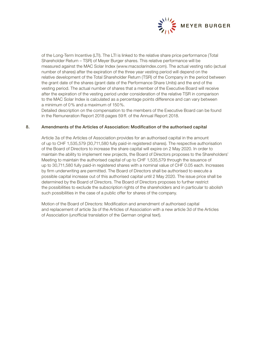

of the Long-Term Incentive (LTI). The LTI is linked to the relative share price performance (Total Shareholder Return – TSR) of Meyer Burger shares. This relative performance will be measured against the MAC Solar Index (www.macsolarindex.com). The actual vesting ratio (actual number of shares) after the expiration of the three year vesting period will depend on the relative development of the Total Shareholder Return (TSR) of the Company in the period between the grant date of the shares (grant date of the Performance Share Units) and the end of the vesting period. The actual number of shares that a member of the Executive Board will receive after the expiration of the vesting period under consideration of the relative TSR in comparison to the MAC Solar Index is calculated as a percentage points difference and can vary between a minimum of 0% and a maximum of 150%.

Detailed description on the compensation to the members of the Executive Board can be found in the Remuneration Report 2018 pages 59 ff. of the Annual Report 2018.

## 8. Amendments of the Articles of Association: Modification of the authorised capital

Article 3a of the Articles of Association provides for an authorised capital in the amount of up to CHF 1,535,579 (30,711,580 fully paid-in registered shares). The respective authorisation of the Board of Directors to increase the share capital will expire on 2 May 2020. In order to maintain the ability to implement new projects, the Board of Directors proposes to the Shareholders' Meeting to maintain the authorised capital of up to CHF 1,535,579 through the issuance of up to 30,711,580 fully paid-in registered shares with a nominal value of CHF 0.05 each. Increases by firm underwriting are permitted. The Board of Directors shall be authorised to execute a possible capital increase out of this authorised capital until 2 May 2020. The issue price shall be determined by the Board of Directors. The Board of Directors proposes to further restrict the possibilities to exclude the subscription rights of the shareholders and in particular to abolish such possibilities in the case of a public offer for shares of the company.

Motion of the Board of Directors: Modification and amendment of authorised capital and replacement of article 3a of the Articles of Association with a new article 3d of the Articles of Association (unofficial translation of the German original text).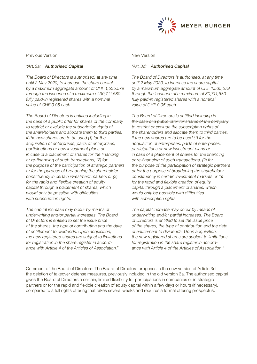

Previous Version

# "Art.3a: Authorised Capital

The Board of Directors is authorised, at any time until 2 May 2020, to increase the share capital by a maximum aggregate amount of CHF 1,535,579 through the issuance of a maximum of 30,711,580 fully paid-in registered shares with a nominal value of CHF 0.05 each.

The Board of Directors is entitled including in the case of a public offer for shares of the company to restrict or exclude the subscription rights of the shareholders and allocate them to third parties, if the new shares are to be used (1) for the acquisition of enterprises, parts of enterprises, participations or new investment plans or in case of a placement of shares for the financing or re-financing of such transactions, (2) for the purpose of the participation of strategic partners or for the purpose of broadening the shareholder constituency in certain investment markets or (3) for the rapid and flexible creation of equity capital through a placement of shares, which would only be possible with difficulties with subscription rights.

The capital increase may occur by means of underwriting and/or partial increases. The Board of Directors is entitled to set the issue price of the shares, the type of contribution and the date of entitlement to dividends. Upon acquisition, the new registered shares are subject to limitations for registration in the share register in accordance with Article 4 of the Articles of Association."

New Version

#### "Art.3d: Authorised Capital

The Board of Directors is authorised, at any time until 2 May 2020, to increase the share capital by a maximum aggregate amount of CHF 1,535,579 through the issuance of a maximum of 30,711,580 fully paid-in registered shares with a nominal value of CHF 0.05 each.

The Board of Directors is entitled including inthe case of a public offer for shares of the company to restrict or exclude the subscription rights of the shareholders and allocate them to third parties, if the new shares are to be used (1) for the acquisition of enterprises, parts of enterprises, participations or new investment plans or in case of a placement of shares for the financing or re-financing of such transactions, (2) for the purpose of the participation of strategic partners or for the purpose of broadening the shareholderconstituency in certain investment markets or (3) for the rapid and flexible creation of equity capital through a placement of shares, which would only be possible with difficulties with subscription rights.

The capital increase may occur by means of underwriting and/or partial increases. The Board of Directors is entitled to set the issue price of the shares, the type of contribution and the date of entitlement to dividends. Upon acquisition, the new registered shares are subject to limitations for registration in the share register in accordance with Article 4 of the Articles of Association."

Comment of the Board of Directors: The Board of Directors proposes in the new version of Article 3d the deletion of takeover defense measures, previously included in the old version 3a. The authorised capital gives the Board of Directors a certain, limited flexibility for participations in companies or in strategic partners or for the rapid and flexible creation of equity capital within a few days or hours (if necessary), compared to a full rights offering that takes several weeks and requires a formal offering prospectus.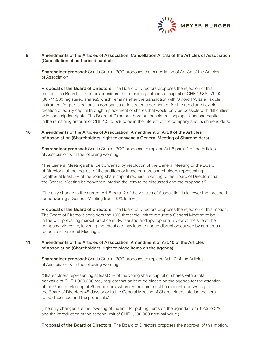

# 9. Amendments of the Articles of Association: Cancellation Art.3a of the Articles of Association (Cancellation of authorised capital)

**Shareholder proposal:** Sentis Capital PCC proposes the cancellation of Art. 3a of the Articles of Association.

Proposal of the Board of Directors: The Board of Directors proposes the rejection of this motion. The Board of Directors considers the remaining authorised capital of CHF 1,535,579.00 (30,711,580 registered shares), which remains after the transaction with Oxford PV, as a flexible instrument for participations in companies or in strategic partners or for the rapid and flexible creation of equity capital through a placement of shares that would only be possible with difficulties with subscription rights. The Board of Directors therefore considers keeping authorised capital in the remaining amount of CHF 1,535,579 to be in the interest of the company and its shareholders.

# 10. Amendments of the Articles of Association: Amendment of Art.8 of the Articles of Association (Shareholders' right to convene a General Meeting of Shareholders)

Shareholder proposal: Sentis Capital PCC proposes to replace Art. 8 para. 2 of the Articles of Association with the following wording:

"The General Meetings shall be convened by resolution of the General Meeting or the Board of Directors, at the request of the auditors or if one or more shareholders representing together at least 5% of the voting share capital request in writing to the Board of Directors that the General Meeting be convened, stating the item to be discussed and the proposals."

(The only change to the current Art.8 para. 2 of the Articles of Association is to lower the threshold for convening a General Meeting from 10% to 5%.)

Proposal of the Board of Directors: The Board of Directors proposes the rejection of this motion. The Board of Directors considers the 10% threshold limit to request a General Meeting to be in line with prevailing market practice in Switzerland and appropriate in view of the size of the company. Moreover, lowering the threshold may lead to undue disruption caused by numerous requests for General Meetings.

## 11. Amendments of the Articles of Association: Amendment of Art.10 of the Articles of Association (Shareholders' right to place items on the agenda)

Shareholder proposal: Sentis Capital PCC proposes to replace Art.10 of the Articles of Association with the following wording:

"Shareholders representing at least 3% of the voting share capital or shares with a total par value of CHF 1,000,000 may request that an item be placed on the agenda for the attention of the General Meeting of Shareholders, whereby the item must be requested in writing to the Board of Directors 45 days prior to the General Meeting of Shareholders, stating the item to be discussed and the proposals."

(The only changes are the lowering of the limit for putting items on the agenda from 10% to 3% and the introduction of the second limit of CHF 1,000,000 nominal value.)

Proposal of the Board of Directors: The Board of Directors proposes the approval of this motion.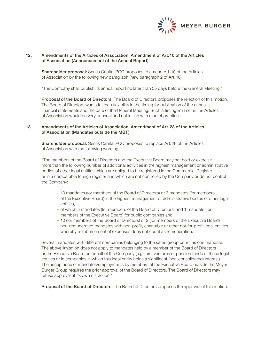

# 12. Amendments of the Articles of Association: Amendment of Art.10 of the Articles of Association (Announcement of the Annual Report)

**Shareholder proposal:** Sentis Capital PCC proposes to amend Art. 10 of the Articles of Association by the following new paragraph (new paragraph 2 of Art.10):

"The Company shall publish its annual report no later than 55 days before the General Meeting."

Proposal of the Board of Directors: The Board of Directors proposes the rejection of this motion. The Board of Directors wants to keep flexibility in the timing for publication of the annual financial statements and the date of the General Meeting. Such a timing limit set in the Articles of Association would be very unusual and not in line with market practice.

# 13. Amendments of the Articles of Association: Amendment of Art.28 of the Articles of Association (Mandates outside the MBT)

Shareholder proposal: Sentis Capital PCC proposes to replace Art.28 of the Articles of Association with the following wording:

"The members of the Board of Directors and the Executive Board may not hold or exercise more than the following number of additional activities in the highest management or administrative bodies of other legal entities which are obliged to be registered in the Commercial Register or in a comparable foreign register and which are not controlled by the Company or do not control the Company:

- 10 mandates (for members of the Board of Directors) or 3 mandates (for members of the Executive Board) in the highest management or administrative bodies of other legal entities,
- of which 5 mandates (for members of the Board of Directors) and 1 mandate (for members of the Executive Board) for public companies and
- 10 (for members of the Board of Directors) or 2 (for members of the Executive Board) non-remunerated mandates with non-profit, charitable or other not-for-profit legal entities, whereby reimbursement of expenses does not count as remuneration.

Several mandates with different companies belonging to the same group count as one mandate. The above limitation does not apply to mandates held by a member of the Board of Directors or the Executive Board on behalf of the Company (e.g. joint ventures or pension funds of these legal entities or in companies in which this legal entity holds a significant (non-consolidated) interest). The acceptance of mandates/employments by members of the Executive Board outside the Meyer Burger Group requires the prior approval of the Board of Directors. The Board of Directors may refuse approval at its own discretion."

Proposal of the Board of Directors: The Board of Directors proposes the approval of this motion.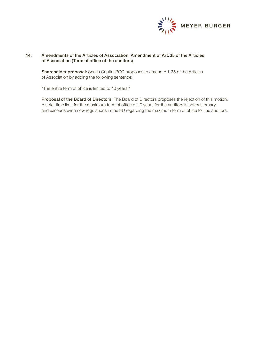

# 14. Amendments of the Articles of Association: Amendment of Art.35 of the Articles of Association (Term of office of the auditors)

Shareholder proposal: Sentis Capital PCC proposes to amend Art.35 of the Articles of Association by adding the following sentence:

"The entire term of office is limited to 10 years."

Proposal of the Board of Directors: The Board of Directors proposes the rejection of this motion. A strict time limit for the maximum term of office of 10 years for the auditors is not customary and exceeds even new regulations in the EU regarding the maximum term of office for the auditors.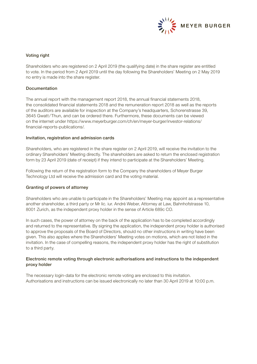

# Voting right

Shareholders who are registered on 2 April 2019 (the qualifying date) in the share register are entitled to vote. In the period from 2 April 2019 until the day following the Shareholders' Meeting on 2 May 2019 no entry is made into the share register.

# Documentation

The annual report with the management report 2018, the annual financial statements 2018, the consolidated financial statements 2018 and the remuneration report 2018 as well as the reports of the auditors are available for inspection at the Company's headquarters, Schorenstrasse 39, 3645 Gwatt/Thun, and can be ordered there. Furthermore, these documents can be viewed on the internet under https://www.meyerburger.com/ch/en/meyer-burger/investor-relations/ financial-reports-publications/.

## Invitation, registration and admission cards

Shareholders, who are registered in the share register on 2 April 2019, will receive the invitation to the ordinary Shareholders' Meeting directly. The shareholders are asked to return the enclosed registration form by 23 April 2019 (date of receipt) if they intend to participate at the Shareholders' Meeting.

Following the return of the registration form to the Company the shareholders of Meyer Burger Technology Ltd will receive the admission card and the voting material.

# Granting of powers of attorney

Shareholders who are unable to participate in the Shareholders' Meeting may appoint as a representative another shareholder, a third party or Mr lic. iur. André Weber, Attorney at Law, Bahnhofstrasse 10, 8001 Zurich, as the independent proxy holder in the sense of Article 689c CO.

In such cases, the power of attorney on the back of the application has to be completed accordingly and returned to the representative. By signing the application, the independent proxy holder is authorised to approve the proposals of the Board of Directors, should no other instructions in writing have been given. This also applies where the Shareholders' Meeting votes on motions, which are not listed in the invitation. In the case of compelling reasons, the independent proxy holder has the right of substitution to a third party.

# Electronic remote voting through electronic authorisations and instructions to the independent proxy holder

The necessary login-data for the electronic remote voting are enclosed to this invitation. Authorisations and instructions can be issued electronically no later than 30 April 2019 at 10:00 p.m.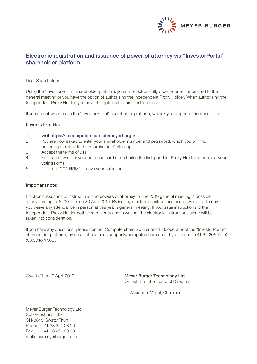

# Electronic registration and issuance of power of attorney via "InvestorPortal" shareholder platform

# Dear Shareholder

Using the "InvestorPortal" shareholder platform, you can electronically order your entrance card to the general meeting or you have the option of authorising the Independent Proxy Holder. When authorising the Independent Proxy Holder, you have the option of issuing instructions.

If you do not wish to use the "InvestorPortal" shareholder platform, we ask you to ignore this description.

#### It works like this:

- 1. Visit https://ip.computershare.ch/meyerburger.
- 2. You are now asked to enter your shareholder number and password, which you will find on the registration to the Shareholders' Meeting.
- 3. Accept the terms of use.
- 4. You can now order your entrance card or authorise the Independent Proxy Holder to exercise your voting rights.
- 5. Click on "CONFIRM" to save your selection.

#### Important note:

Electronic issuance of instructions and powers of attorney for the 2019 general meeting is possible at any time up to 10:00 p.m. on 30 April 2019. By issuing electronic instructions and powers of attorney, you waive any attendance in person at this year's general meeting. If you issue instructions to the Independent Proxy Holder both electronically and in writing, the electronic instructions alone will be taken into consideration.

If you have any questions, please contact Computershare Switzerland Ltd, operator of the "InvestorPortal" shareholder platform, by email at business.support@computershare.ch or by phone on +41 62 205 77 50 (08:00 to 17:00).

Gwatt/Thun, 9 April 2019 **Meyer Burger Technology Ltd** On behalf of the Board of Directors:

Dr Alexander Vogel, Chairman

Meyer Burger Technology Ltd Schorenstrasse 39 CH-3645 Gwatt/Thun Phone +41 33 221 28 00 Fax +41 33 221 28 08 mbtinfo@meyerburger.com